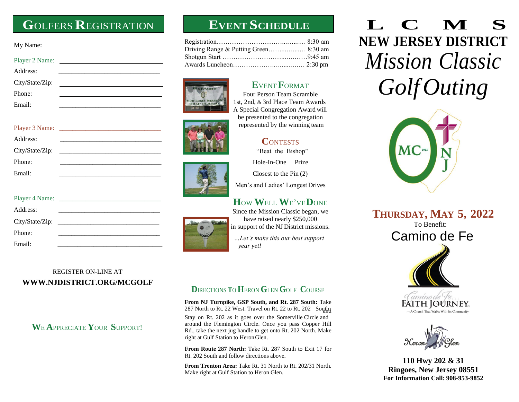## **G**OLFERS **R**EGISTRATION **EVENT SCHEDULE**

| My Name:        |        |  |
|-----------------|--------|--|
|                 |        |  |
| Address:        |        |  |
| City/State/Zip: | $\sim$ |  |
| Phone:          |        |  |
| Email:          |        |  |

| Address:        |  |
|-----------------|--|
| City/State/Zip: |  |
| Phone:          |  |
| Email:          |  |

| Player 4 Name: |  |
|----------------|--|
| Address:       |  |
|                |  |
| Phone:         |  |
| Email:         |  |

#### REGISTER ON-LINE AT **[WWW.NJDISTRICT.ORG/MCGOLF](http://www.njdistrict.org/MCGOLF)**

### **W**E **A**PPRECIATE **Y**OUR **S**UPPORT!







Four Person Team Scramble 1st, 2nd, & 3rd Place Team Awards

**E**VENT**F**ORMAT

A Special Congregation Award will be presented to the congregation represented by the winning team

### **C**ONTESTS

"Beat the Bishop"

Hole-In-One Prize

Closest to the Pin (2)

Men's and Ladies' Longest Drives

### **H**OW **W**ELL **W**E'VE**D**ONE

Since the Mission Classic began, we have raised nearly \$250,000 in support of the NJ District missions.

*…Let's make this our best support year yet!*

#### **D**IRECTIONS **T**O **H**ERON **G**LEN **G**OLF **C**OURSE

From NJ Turnpike, GSP South, and Rt. 287 South: Take 287 North to Rt. 22 West. Travel on Rt. 22 to Rt. 202 South.

Stay on Rt. 202 as it goes over the Somerville Circle and around the Flemington Circle. Once you pass Copper Hill Rd., take the next jug handle to get onto Rt. 202 North. Make right at Gulf Station to HeronGlen.

From Route 287 North: Take Rt. 287 South to Exit 17 for Rt. 202 South and follow directions above.

**From Trenton Area:** Take Rt. 31 North to Rt. 202/31 North. Make right at Gulf Station to Heron Glen.

# **L C M S NEW JERSEY DISTRICT** *Mission Classic GolfOuting*







**110 Hwy 202 & 31 Ringoes, New Jersey 08551 For Information Call: 908-953-9852**